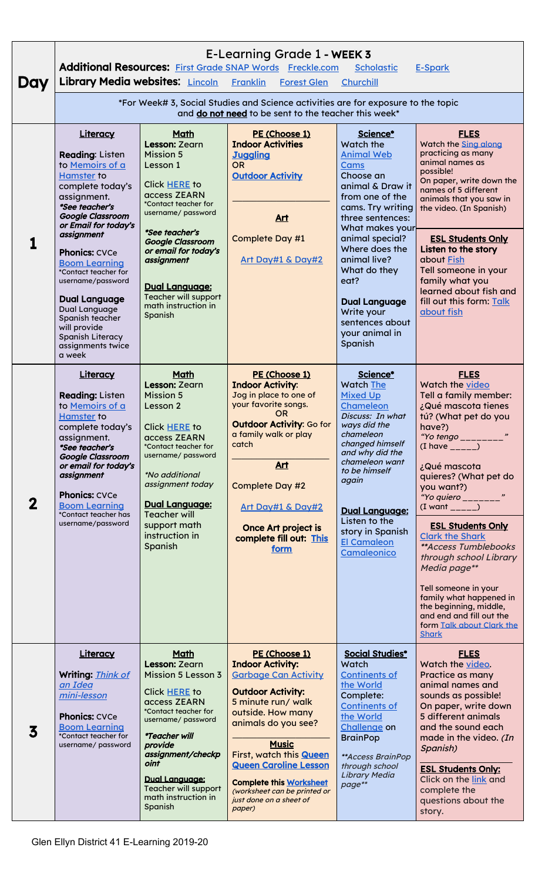| Day         | E-Learning Grade 1 - WEEK 3<br>Additional Resources: First Grade SNAP Words Freckle.com<br><b>Scholastic</b><br><b>E-Spark</b><br><b>Library Media websites: Lincoln</b><br><b>Franklin</b><br><b>Forest Glen</b><br>Churchill                                                                                                                                                                                                      |                                                                                                                                                                                                                                                                                                            |                                                                                                                                                                                                                                                                                                                                                                |                                                                                                                                                                                                                                                                                                                                       |                                                                                                                                                                                                                                                                                                                                                                                                                                                                                                                                              |  |  |
|-------------|-------------------------------------------------------------------------------------------------------------------------------------------------------------------------------------------------------------------------------------------------------------------------------------------------------------------------------------------------------------------------------------------------------------------------------------|------------------------------------------------------------------------------------------------------------------------------------------------------------------------------------------------------------------------------------------------------------------------------------------------------------|----------------------------------------------------------------------------------------------------------------------------------------------------------------------------------------------------------------------------------------------------------------------------------------------------------------------------------------------------------------|---------------------------------------------------------------------------------------------------------------------------------------------------------------------------------------------------------------------------------------------------------------------------------------------------------------------------------------|----------------------------------------------------------------------------------------------------------------------------------------------------------------------------------------------------------------------------------------------------------------------------------------------------------------------------------------------------------------------------------------------------------------------------------------------------------------------------------------------------------------------------------------------|--|--|
|             | *For Week# 3, Social Studies and Science activities are for exposure to the topic<br>and do not need to be sent to the teacher this week*                                                                                                                                                                                                                                                                                           |                                                                                                                                                                                                                                                                                                            |                                                                                                                                                                                                                                                                                                                                                                |                                                                                                                                                                                                                                                                                                                                       |                                                                                                                                                                                                                                                                                                                                                                                                                                                                                                                                              |  |  |
|             | Literacy<br><b>Reading: Listen</b><br>to Memoirs of a<br><b>Hamster to</b><br>complete today's<br>assignment.<br>*See teacher's<br><b>Google Classroom</b><br>or Email for today's<br>assignment<br><b>Phonics: CVCe</b><br><b>Boom Learning</b><br>*Contact teacher for<br>username/password<br><b>Dual Language</b><br>Dual Language<br>Spanish teacher<br>will provide<br><b>Spanish Literacy</b><br>assignments twice<br>a week | Math<br>Lesson: Zearn<br><b>Mission 5</b><br>Lesson 1<br>Click HERE to<br>access ZEARN<br>*Contact teacher for<br>username/ password<br>*See teacher's<br><b>Google Classroom</b><br>or email for today's<br>assignment<br><b>Dual Language:</b><br>Teacher will support<br>math instruction in<br>Spanish | PE (Choose 1)<br><b>Indoor Activities</b><br><b>Juggling</b><br><b>OR</b><br><b>Outdoor Activity</b><br>Art<br>Complete Day #1<br>Art Day#1 & Day#2                                                                                                                                                                                                            | Science*<br>Watch the<br><b>Animal Web</b><br>Cams<br>Choose an<br>animal & Draw it<br>from one of the<br>cams. Try writing<br>three sentences:<br>What makes your<br>animal special?<br>Where does the<br>animal live?<br>What do they<br>eat?<br><b>Dual Language</b><br>Write your<br>sentences about<br>your animal in<br>Spanish | <b>FLES</b><br>Watch the <b>Sing along</b><br>practicing as many<br>animal names as<br>possible!<br>On paper, write down the<br>names of 5 different<br>animals that you saw in<br>the video. (In Spanish)<br><b>ESL Students Only</b><br>Listen to the story<br>about Fish<br>Tell someone in your<br>family what you<br>learned about fish and<br>fill out this form: Talk<br>about fish                                                                                                                                                   |  |  |
| $\mathbf 2$ | <b>Literacy</b><br><b>Reading: Listen</b><br>to Memoirs of a<br><b>Hamster to</b><br>complete today's<br>assignment.<br>*See teacher's<br><b>Google Classroom</b><br>or email for today's<br>assignment<br><b>Phonics: CVCe</b><br><b>Boom Learning</b><br>*Contact teacher has<br>username/password                                                                                                                                | Math<br>Lesson: Zearn<br><b>Mission 5</b><br>Lesson 2<br>Click HERE to<br>access ZEARN<br>*Contact teacher for<br>username/password<br><i>*No additional</i><br>assignment today<br><b>Dual Language:</b><br><b>Teacher will</b><br>support math<br>instruction in<br>Spanish                              | PE (Choose 1)<br><b>Indoor Activity:</b><br>Jog in place to one of<br>your favorite songs.<br><b>OR</b><br><b>Outdoor Activity: Go for</b><br>a family walk or play<br>catch<br>Art<br><b>Complete Day #2</b><br><u>Art Day#1 &amp; Day#2</u><br>Once Art project is<br>complete fill out: This<br>form                                                        | Science*<br>Watch The<br><b>Mixed Up</b><br><b>Chameleon</b><br>Discuss: In what<br>ways did the<br>chameleon<br>changed himself<br>and why did the<br>chameleon want<br>to be himself<br>again<br>Dual Language:<br>Listen to the<br>story in Spanish<br><b>El Camaleon</b><br><b>Camaleonico</b>                                    | <b>FLES</b><br>Watch the video<br>Tell a family member:<br>¿Qué mascota tienes<br>tú? (What pet do you<br>have?)<br>"Yo tengo ________"<br>$(I$ have _____)<br>¿Qué mascota<br>quieres? (What pet do<br>you want?)<br>"Yo quiero ________"<br>$(I want -----)$<br><b>ESL Students Only</b><br><b>Clark the Shark</b><br>**Access Tumblebooks<br>through school Library<br>Media page**<br>Tell someone in your<br>family what happened in<br>the beginning, middle,<br>and end and fill out the<br>form Talk about Clark the<br><b>Shark</b> |  |  |
| 3           | Literacy<br>Writing: Think of<br>an Idea<br>mini-lesson<br><b>Phonics: CVCe</b><br><b>Boom Learning</b><br>*Contact teacher for<br>username/ password                                                                                                                                                                                                                                                                               | Math<br>Lesson: Zearn<br><b>Mission 5 Lesson 3</b><br>Click HERE to<br>access ZEARN<br>*Contact teacher for<br>username/ password<br><i><b>*Teacher will</b></i><br>provide<br>assignment/checkp<br>oint<br><b>Dual Language:</b><br>Teacher will support<br>math instruction in<br>Spanish                | PE (Choose 1)<br><b>Indoor Activity:</b><br><b>Garbage Can Activity</b><br><b>Outdoor Activity:</b><br>5 minute run/ walk<br>outside. How many<br>animals do you see?<br><b>Music</b><br>First, watch this <b>Queen</b><br><b>Queen Caroline Lesson</b><br><b>Complete this Worksheet</b><br>(worksheet can be printed or<br>just done on a sheet of<br>paper) | <b>Social Studies*</b><br><b>Watch</b><br><b>Continents of</b><br>the World<br>Complete:<br><b>Continents of</b><br>the World<br>Challenge on<br><b>BrainPop</b><br>**Access BrainPop<br>through school<br><b>Library Media</b><br>page**                                                                                             | <b>FLES</b><br>Watch the video.<br>Practice as many<br>animal names and<br>sounds as possible!<br>On paper, write down<br>5 different animals<br>and the sound each<br>made in the video. (In<br>Spanish)<br><b>ESL Students Only:</b><br>Click on the link and<br>complete the<br>questions about the<br>story.                                                                                                                                                                                                                             |  |  |